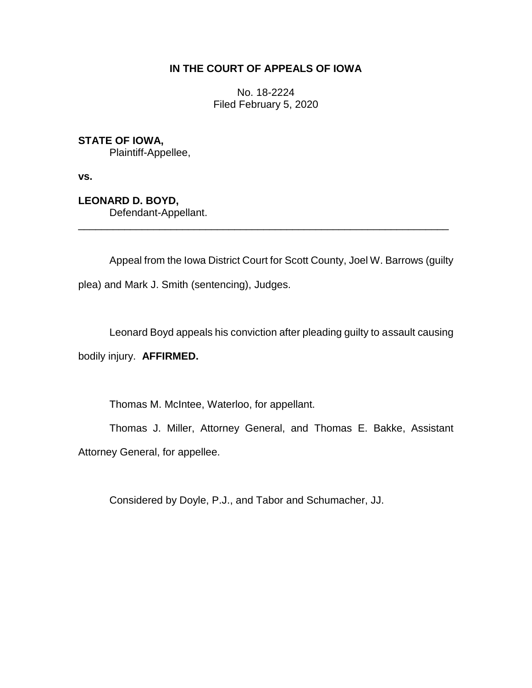## **IN THE COURT OF APPEALS OF IOWA**

No. 18-2224 Filed February 5, 2020

## **STATE OF IOWA,**

Plaintiff-Appellee,

**vs.**

**LEONARD D. BOYD,**

Defendant-Appellant.

Appeal from the Iowa District Court for Scott County, Joel W. Barrows (guilty plea) and Mark J. Smith (sentencing), Judges.

\_\_\_\_\_\_\_\_\_\_\_\_\_\_\_\_\_\_\_\_\_\_\_\_\_\_\_\_\_\_\_\_\_\_\_\_\_\_\_\_\_\_\_\_\_\_\_\_\_\_\_\_\_\_\_\_\_\_\_\_\_\_\_\_

Leonard Boyd appeals his conviction after pleading guilty to assault causing

bodily injury. **AFFIRMED.**

Thomas M. McIntee, Waterloo, for appellant.

Thomas J. Miller, Attorney General, and Thomas E. Bakke, Assistant Attorney General, for appellee.

Considered by Doyle, P.J., and Tabor and Schumacher, JJ.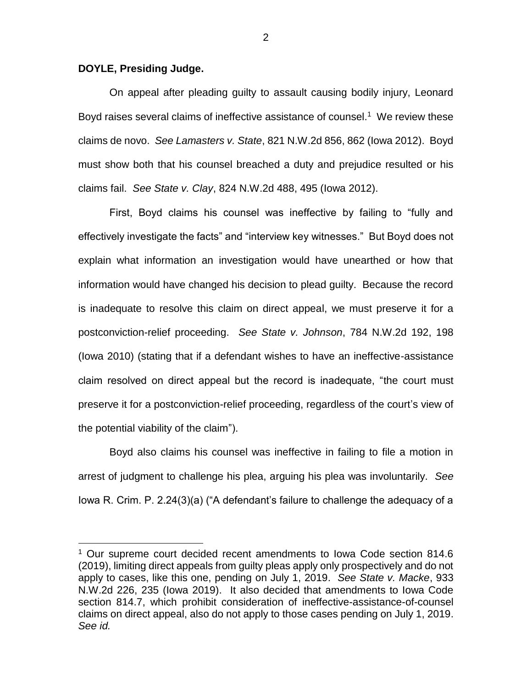## **DOYLE, Presiding Judge.**

 $\overline{a}$ 

On appeal after pleading guilty to assault causing bodily injury, Leonard Boyd raises several claims of ineffective assistance of counsel.<sup>1</sup> We review these claims de novo. *See Lamasters v. State*, 821 N.W.2d 856, 862 (Iowa 2012). Boyd must show both that his counsel breached a duty and prejudice resulted or his claims fail. *See State v. Clay*, 824 N.W.2d 488, 495 (Iowa 2012).

First, Boyd claims his counsel was ineffective by failing to "fully and effectively investigate the facts" and "interview key witnesses." But Boyd does not explain what information an investigation would have unearthed or how that information would have changed his decision to plead guilty. Because the record is inadequate to resolve this claim on direct appeal, we must preserve it for a postconviction-relief proceeding. *See State v. Johnson*, 784 N.W.2d 192, 198 (Iowa 2010) (stating that if a defendant wishes to have an ineffective-assistance claim resolved on direct appeal but the record is inadequate, "the court must preserve it for a postconviction-relief proceeding, regardless of the court's view of the potential viability of the claim").

Boyd also claims his counsel was ineffective in failing to file a motion in arrest of judgment to challenge his plea, arguing his plea was involuntarily. *See*  Iowa R. Crim. P. 2.24(3)(a) ("A defendant's failure to challenge the adequacy of a

<sup>&</sup>lt;sup>1</sup> Our supreme court decided recent amendments to Iowa Code section 814.6 (2019), limiting direct appeals from guilty pleas apply only prospectively and do not apply to cases, like this one, pending on July 1, 2019. *See State v. Macke*, 933 N.W.2d 226, 235 (Iowa 2019). It also decided that amendments to Iowa Code section 814.7, which prohibit consideration of ineffective-assistance-of-counsel claims on direct appeal, also do not apply to those cases pending on July 1, 2019. *See id.*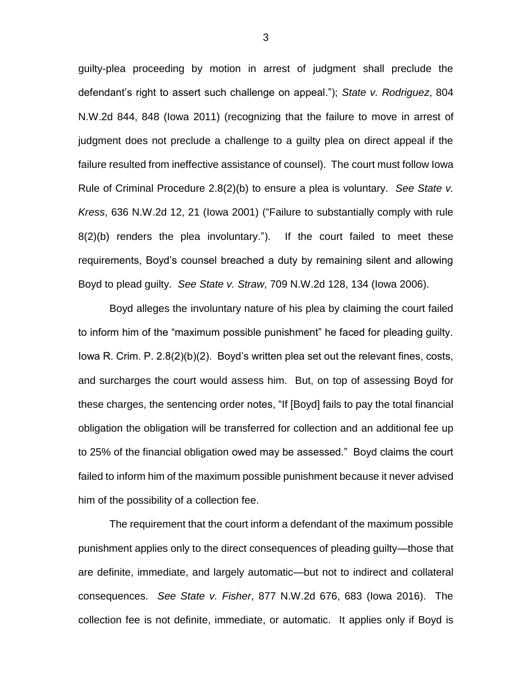guilty-plea proceeding by motion in arrest of judgment shall preclude the defendant's right to assert such challenge on appeal."); *State v. Rodriguez*, 804 N.W.2d 844, 848 (Iowa 2011) (recognizing that the failure to move in arrest of judgment does not preclude a challenge to a guilty plea on direct appeal if the failure resulted from ineffective assistance of counsel). The court must follow Iowa Rule of Criminal Procedure 2.8(2)(b) to ensure a plea is voluntary. *See State v. Kress*, 636 N.W.2d 12, 21 (Iowa 2001) ("Failure to substantially comply with rule 8(2)(b) renders the plea involuntary."). If the court failed to meet these requirements, Boyd's counsel breached a duty by remaining silent and allowing Boyd to plead guilty. *See State v. Straw*, 709 N.W.2d 128, 134 (Iowa 2006).

Boyd alleges the involuntary nature of his plea by claiming the court failed to inform him of the "maximum possible punishment" he faced for pleading guilty. Iowa R. Crim. P. 2.8(2)(b)(2). Boyd's written plea set out the relevant fines, costs, and surcharges the court would assess him. But, on top of assessing Boyd for these charges, the sentencing order notes, "If [Boyd] fails to pay the total financial obligation the obligation will be transferred for collection and an additional fee up to 25% of the financial obligation owed may be assessed." Boyd claims the court failed to inform him of the maximum possible punishment because it never advised him of the possibility of a collection fee.

The requirement that the court inform a defendant of the maximum possible punishment applies only to the direct consequences of pleading guilty—those that are definite, immediate, and largely automatic—but not to indirect and collateral consequences. *See State v. Fisher*, 877 N.W.2d 676, 683 (Iowa 2016). The collection fee is not definite, immediate, or automatic. It applies only if Boyd is

3